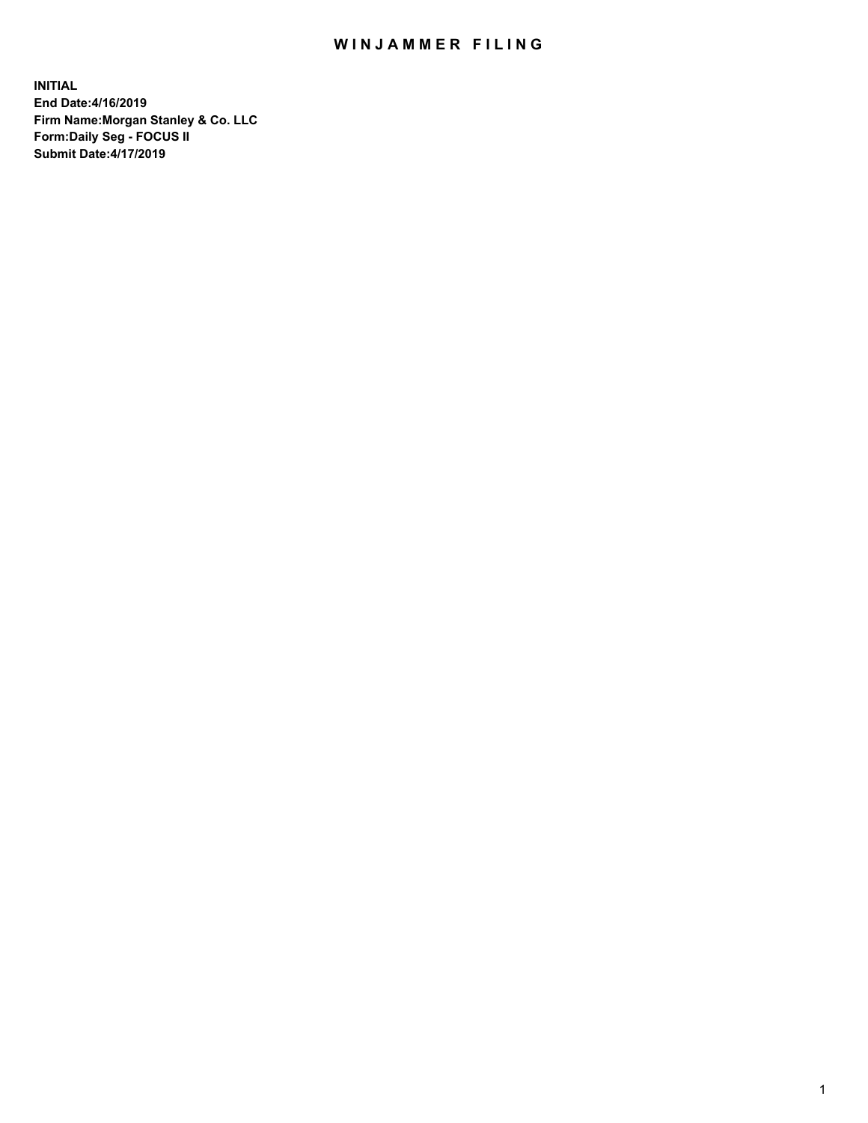## WIN JAMMER FILING

**INITIAL End Date:4/16/2019 Firm Name:Morgan Stanley & Co. LLC Form:Daily Seg - FOCUS II Submit Date:4/17/2019**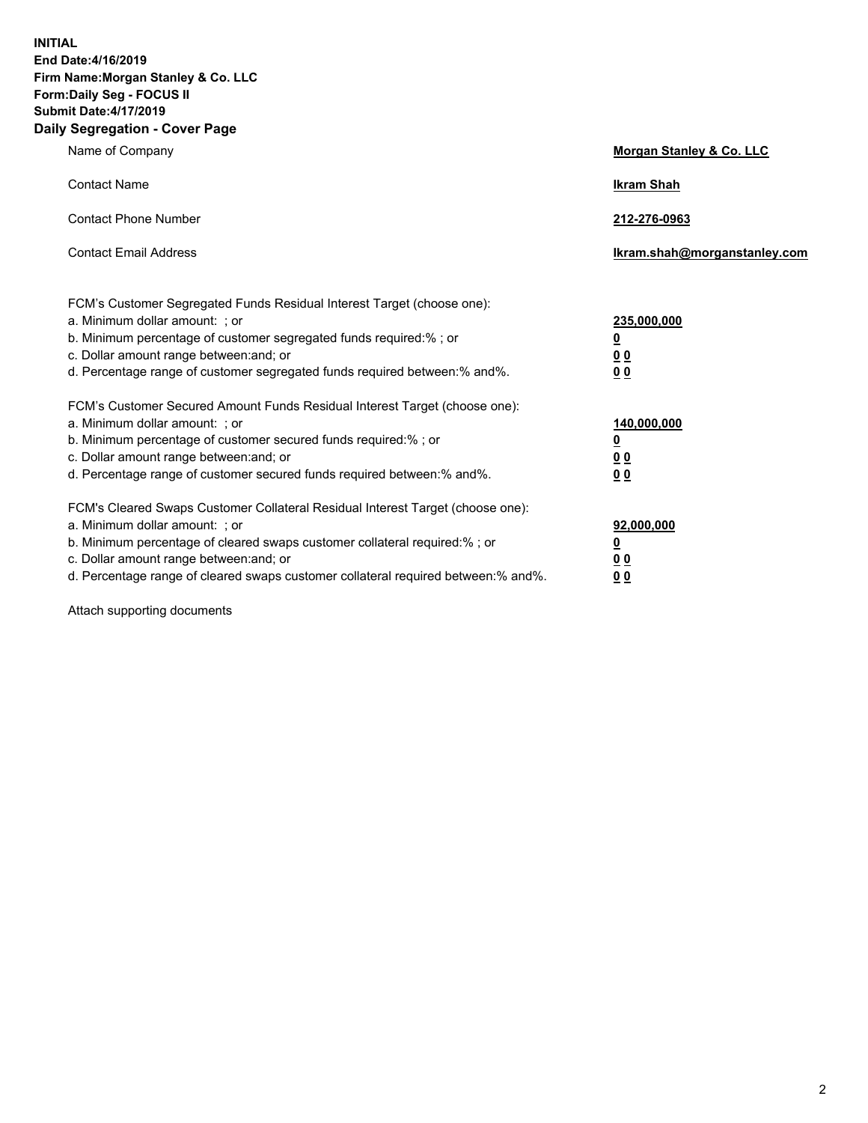**INITIAL End Date:4/16/2019 Firm Name:Morgan Stanley & Co. LLC Form:Daily Seg - FOCUS II Submit Date:4/17/2019 Daily Segregation - Cover Page**

| Name of Company                                                                                                                                                                                                                                                                                                               | Morgan Stanley & Co. LLC                                    |
|-------------------------------------------------------------------------------------------------------------------------------------------------------------------------------------------------------------------------------------------------------------------------------------------------------------------------------|-------------------------------------------------------------|
| <b>Contact Name</b>                                                                                                                                                                                                                                                                                                           | <b>Ikram Shah</b>                                           |
| <b>Contact Phone Number</b>                                                                                                                                                                                                                                                                                                   | 212-276-0963                                                |
| <b>Contact Email Address</b>                                                                                                                                                                                                                                                                                                  | Ikram.shah@morganstanley.com                                |
| FCM's Customer Segregated Funds Residual Interest Target (choose one):<br>a. Minimum dollar amount: ; or<br>b. Minimum percentage of customer segregated funds required:% ; or<br>c. Dollar amount range between: and; or<br>d. Percentage range of customer segregated funds required between:% and%.                        | 235,000,000<br><u>0</u><br><u>00</u><br>0 <sup>0</sup>      |
| FCM's Customer Secured Amount Funds Residual Interest Target (choose one):<br>a. Minimum dollar amount: ; or<br>b. Minimum percentage of customer secured funds required:%; or<br>c. Dollar amount range between: and; or<br>d. Percentage range of customer secured funds required between:% and%.                           | 140,000,000<br><u>0</u><br>0 <sub>0</sub><br>0 <sub>0</sub> |
| FCM's Cleared Swaps Customer Collateral Residual Interest Target (choose one):<br>a. Minimum dollar amount: ; or<br>b. Minimum percentage of cleared swaps customer collateral required:%; or<br>c. Dollar amount range between: and; or<br>d. Percentage range of cleared swaps customer collateral required between:% and%. | 92,000,000<br><u>0</u><br>0 Q<br>00                         |

Attach supporting documents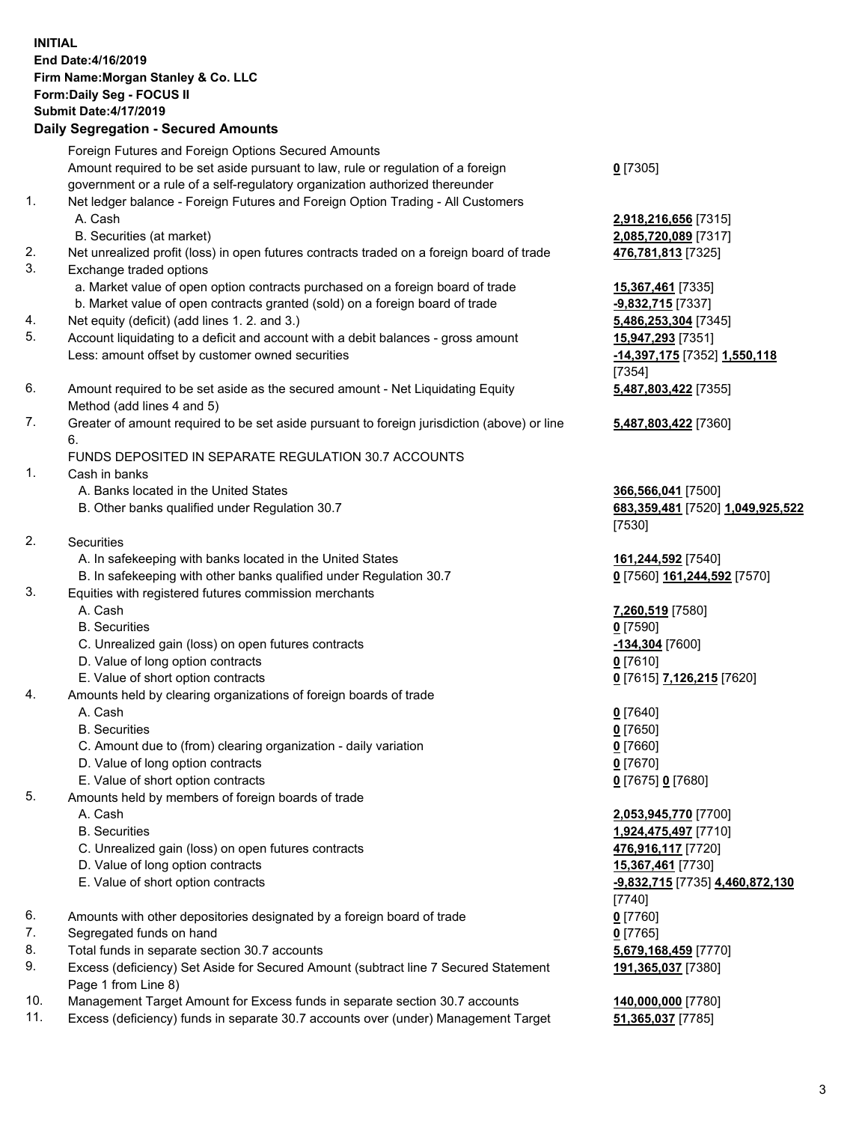## **INITIAL End Date:4/16/2019 Firm Name:Morgan Stanley & Co. LLC Form:Daily Seg - FOCUS II Submit Date:4/17/2019 Daily Segregation - Secured Amounts** Foreign Futures and Foreign Options Secured Amounts Amount required to be set aside pursuant to law, rule or regulation of a foreign government or a rule of a self-regulatory organization authorized thereunder 1. Net ledger balance - Foreign Futures and Foreign Option Trading - All Customers A. Cash **2,918,216,656** [7315] B. Securities (at market) **2,085,720,089** [7317] 2. Net unrealized profit (loss) in open futures contracts traded on a foreign board of trade **476,781,813** [7325] 3. Exchange traded options a. Market value of open option contracts purchased on a foreign board of trade **15,367,461** [7335] b. Market value of open contracts granted (sold) on a foreign board of trade **-9,832,715** [7337] 4. Net equity (deficit) (add lines 1. 2. and 3.) **5,486,253,304** [7345] 5. Account liquidating to a deficit and account with a debit balances - gross amount **15,947,293** [7351] Less: amount offset by customer owned securities **-14,397,175** [7352] **1,550,118** 6. Amount required to be set aside as the secured amount - Net Liquidating Equity Method (add lines 4 and 5) 7. Greater of amount required to be set aside pursuant to foreign jurisdiction (above) or line 6. FUNDS DEPOSITED IN SEPARATE REGULATION 30.7 ACCOUNTS 1. Cash in banks A. Banks located in the United States **366,566,041** [7500]

- B. Other banks qualified under Regulation 30.7 **683,359,481** [7520] **1,049,925,522**
- 2. Securities
	- A. In safekeeping with banks located in the United States **161,244,592** [7540]
	- B. In safekeeping with other banks qualified under Regulation 30.7 **0** [7560] **161,244,592** [7570]
- 3. Equities with registered futures commission merchants
	-
	- B. Securities **0** [7590]
	- C. Unrealized gain (loss) on open futures contracts **-134,304** [7600]
	- D. Value of long option contracts **0** [7610]
- E. Value of short option contracts **0** [7615] **7,126,215** [7620]
- 4. Amounts held by clearing organizations of foreign boards of trade
	- A. Cash **0** [7640]
	- B. Securities **0** [7650]
	- C. Amount due to (from) clearing organization daily variation **0** [7660]
	- D. Value of long option contracts **0** [7670]
	- E. Value of short option contracts **0** [7675] **0** [7680]
- 5. Amounts held by members of foreign boards of trade
	-
	-
	- C. Unrealized gain (loss) on open futures contracts **476,916,117** [7720]
	- D. Value of long option contracts **15,367,461** [7730]
	- E. Value of short option contracts **-9,832,715** [7735] **4,460,872,130**
- 6. Amounts with other depositories designated by a foreign board of trade **0** [7760]
- 7. Segregated funds on hand **0** [7765]
- 8. Total funds in separate section 30.7 accounts **5,679,168,459** [7770]
- 9. Excess (deficiency) Set Aside for Secured Amount (subtract line 7 Secured Statement Page 1 from Line 8)
- 10. Management Target Amount for Excess funds in separate section 30.7 accounts **140,000,000** [7780]
- 11. Excess (deficiency) funds in separate 30.7 accounts over (under) Management Target **51,365,037** [7785]

**0** [7305]

[7354] **5,487,803,422** [7355]

**5,487,803,422** [7360]

[7530]

A. Cash **7,260,519** [7580]

 A. Cash **2,053,945,770** [7700] B. Securities **1,924,475,497** [7710] [7740] **191,365,037** [7380]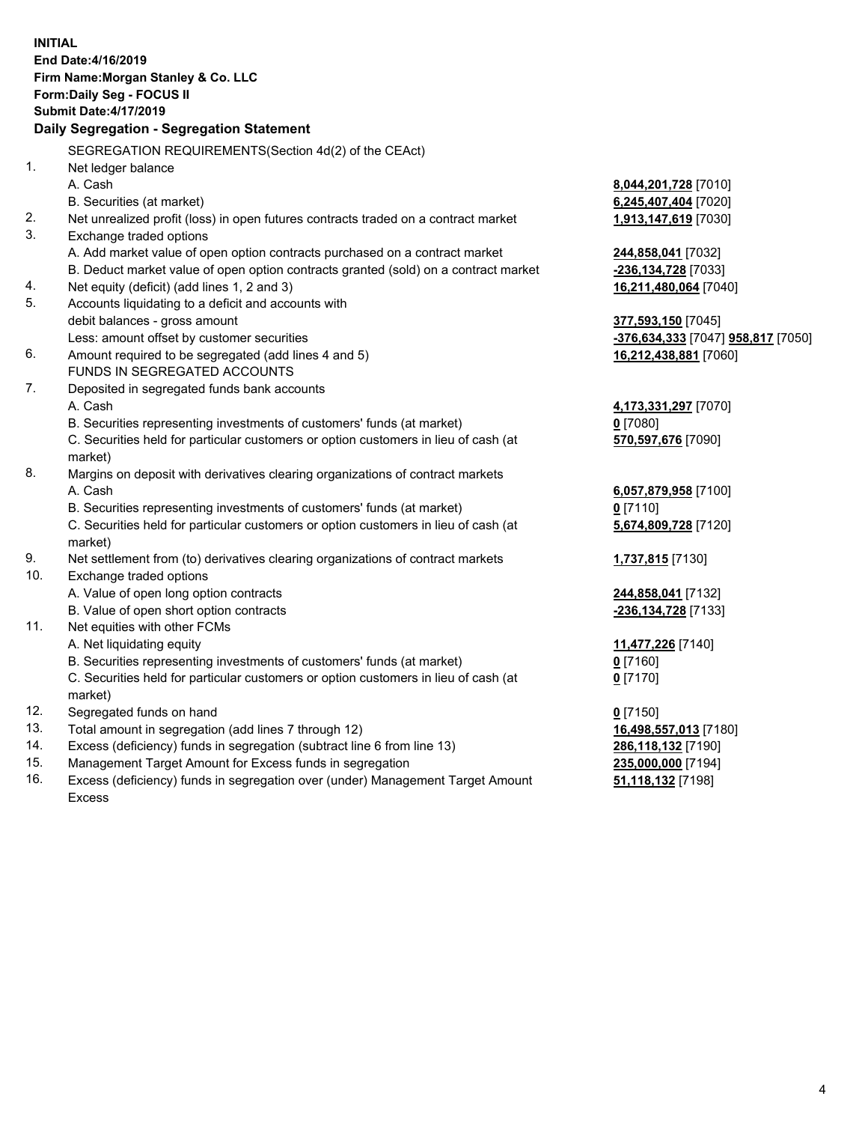**INITIAL End Date:4/16/2019 Firm Name:Morgan Stanley & Co. LLC Form:Daily Seg - FOCUS II Submit Date:4/17/2019 Daily Segregation - Segregation Statement** SEGREGATION REQUIREMENTS(Section 4d(2) of the CEAct) 1. Net ledger balance A. Cash **8,044,201,728** [7010] B. Securities (at market) **6,245,407,404** [7020] 2. Net unrealized profit (loss) in open futures contracts traded on a contract market **1,913,147,619** [7030] 3. Exchange traded options A. Add market value of open option contracts purchased on a contract market **244,858,041** [7032] B. Deduct market value of open option contracts granted (sold) on a contract market **-236,134,728** [7033] 4. Net equity (deficit) (add lines 1, 2 and 3) **16,211,480,064** [7040] 5. Accounts liquidating to a deficit and accounts with debit balances - gross amount **377,593,150** [7045] Less: amount offset by customer securities **-376,634,333** [7047] **958,817** [7050] 6. Amount required to be segregated (add lines 4 and 5) **16,212,438,881** [7060] FUNDS IN SEGREGATED ACCOUNTS 7. Deposited in segregated funds bank accounts A. Cash **4,173,331,297** [7070] B. Securities representing investments of customers' funds (at market) **0** [7080] C. Securities held for particular customers or option customers in lieu of cash (at market) **570,597,676** [7090] 8. Margins on deposit with derivatives clearing organizations of contract markets A. Cash **6,057,879,958** [7100] B. Securities representing investments of customers' funds (at market) **0** [7110] C. Securities held for particular customers or option customers in lieu of cash (at market) **5,674,809,728** [7120] 9. Net settlement from (to) derivatives clearing organizations of contract markets **1,737,815** [7130] 10. Exchange traded options A. Value of open long option contracts **244,858,041** [7132] B. Value of open short option contracts **-236,134,728** [7133] 11. Net equities with other FCMs A. Net liquidating equity **11,477,226** [7140] B. Securities representing investments of customers' funds (at market) **0** [7160] C. Securities held for particular customers or option customers in lieu of cash (at market) **0** [7170] 12. Segregated funds on hand **0** [7150] 13. Total amount in segregation (add lines 7 through 12) **16,498,557,013** [7180] 14. Excess (deficiency) funds in segregation (subtract line 6 from line 13) **286,118,132** [7190] 15. Management Target Amount for Excess funds in segregation **235,000,000** [7194] **51,118,132** [7198]

16. Excess (deficiency) funds in segregation over (under) Management Target Amount Excess